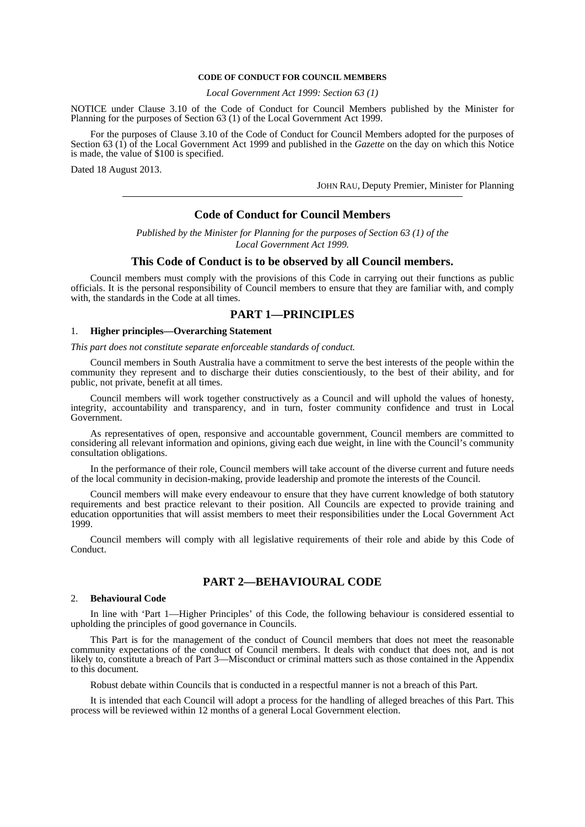### **CODE OF CONDUCT FOR COUNCIL MEMBERS**

*Local Government Act 1999: Section 63 (1)* 

NOTICE under Clause 3.10 of the Code of Conduct for Council Members published by the Minister for Planning for the purposes of Section 63 (1) of the Local Government Act 1999.

 For the purposes of Clause 3.10 of the Code of Conduct for Council Members adopted for the purposes of Section 63 (1) of the Local Government Act 1999 and published in the *Gazette* on the day on which this Notice is made, the value of \$100 is specified.

Dated 18 August 2013.

JOHN RAU, Deputy Premier, Minister for Planning

# **Code of Conduct for Council Members**

*Published by the Minister for Planning for the purposes of Section 63 (1) of the Local Government Act 1999.* 

### **This Code of Conduct is to be observed by all Council members.**

 Council members must comply with the provisions of this Code in carrying out their functions as public officials. It is the personal responsibility of Council members to ensure that they are familiar with, and comply with, the standards in the Code at all times.

## **PART 1—PRINCIPLES**

### 1. **Higher principles—Overarching Statement**

#### *This part does not constitute separate enforceable standards of conduct.*

 Council members in South Australia have a commitment to serve the best interests of the people within the community they represent and to discharge their duties conscientiously, to the best of their ability, and for public, not private, benefit at all times.

 Council members will work together constructively as a Council and will uphold the values of honesty, integrity, accountability and transparency, and in turn, foster community confidence and trust in Local Government.

 As representatives of open, responsive and accountable government, Council members are committed to considering all relevant information and opinions, giving each due weight, in line with the Council's community consultation obligations.

 In the performance of their role, Council members will take account of the diverse current and future needs of the local community in decision-making, provide leadership and promote the interests of the Council.

 Council members will make every endeavour to ensure that they have current knowledge of both statutory requirements and best practice relevant to their position. All Councils are expected to provide training and education opportunities that will assist members to meet their responsibilities under the Local Government Act 1999.

 Council members will comply with all legislative requirements of their role and abide by this Code of Conduct.

# **PART 2—BEHAVIOURAL CODE**

# 2. **Behavioural Code**

 In line with 'Part 1—Higher Principles' of this Code, the following behaviour is considered essential to upholding the principles of good governance in Councils.

 This Part is for the management of the conduct of Council members that does not meet the reasonable community expectations of the conduct of Council members. It deals with conduct that does not, and is not likely to, constitute a breach of Part 3—Misconduct or criminal matters such as those contained in the Appendix to this document.

Robust debate within Councils that is conducted in a respectful manner is not a breach of this Part.

 It is intended that each Council will adopt a process for the handling of alleged breaches of this Part. This process will be reviewed within 12 months of a general Local Government election.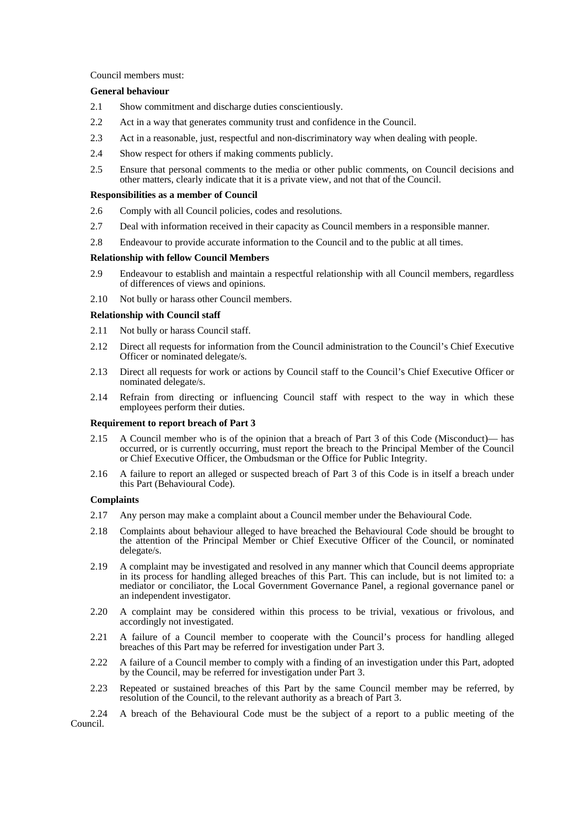Council members must:

### **General behaviour**

- 2.1 Show commitment and discharge duties conscientiously.
- 2.2 Act in a way that generates community trust and confidence in the Council.
- 2.3 Act in a reasonable, just, respectful and non-discriminatory way when dealing with people.
- 2.4 Show respect for others if making comments publicly.
- 2.5 Ensure that personal comments to the media or other public comments, on Council decisions and other matters, clearly indicate that it is a private view, and not that of the Council.

### **Responsibilities as a member of Council**

- 2.6 Comply with all Council policies, codes and resolutions.
- 2.7 Deal with information received in their capacity as Council members in a responsible manner.
- 2.8 Endeavour to provide accurate information to the Council and to the public at all times.

# **Relationship with fellow Council Members**

- 2.9 Endeavour to establish and maintain a respectful relationship with all Council members, regardless of differences of views and opinions.
- 2.10 Not bully or harass other Council members.

# **Relationship with Council staff**

- 2.11 Not bully or harass Council staff.
- 2.12 Direct all requests for information from the Council administration to the Council's Chief Executive Officer or nominated delegate/s.
- 2.13 Direct all requests for work or actions by Council staff to the Council's Chief Executive Officer or nominated delegate/s.
- 2.14 Refrain from directing or influencing Council staff with respect to the way in which these employees perform their duties.

### **Requirement to report breach of Part 3**

- 2.15 A Council member who is of the opinion that a breach of Part 3 of this Code (Misconduct)— has occurred, or is currently occurring, must report the breach to the Principal Member of the Council or Chief Executive Officer, the Ombudsman or the Office for Public Integrity.
- 2.16 A failure to report an alleged or suspected breach of Part 3 of this Code is in itself a breach under this Part (Behavioural Code).

### **Complaints**

- 2.17 Any person may make a complaint about a Council member under the Behavioural Code.
- 2.18 Complaints about behaviour alleged to have breached the Behavioural Code should be brought to the attention of the Principal Member or Chief Executive Officer of the Council, or nominated delegate/s.
- 2.19 A complaint may be investigated and resolved in any manner which that Council deems appropriate in its process for handling alleged breaches of this Part. This can include, but is not limited to: a mediator or conciliator, the Local Government Governance Panel, a regional governance panel or an independent investigator.
- 2.20 A complaint may be considered within this process to be trivial, vexatious or frivolous, and accordingly not investigated.
- 2.21 A failure of a Council member to cooperate with the Council's process for handling alleged breaches of this Part may be referred for investigation under Part 3.
- 2.22 A failure of a Council member to comply with a finding of an investigation under this Part, adopted by the Council, may be referred for investigation under Part 3.
- 2.23 Repeated or sustained breaches of this Part by the same Council member may be referred, by resolution of the Council, to the relevant authority as a breach of Part 3.

 2.24 A breach of the Behavioural Code must be the subject of a report to a public meeting of the Council.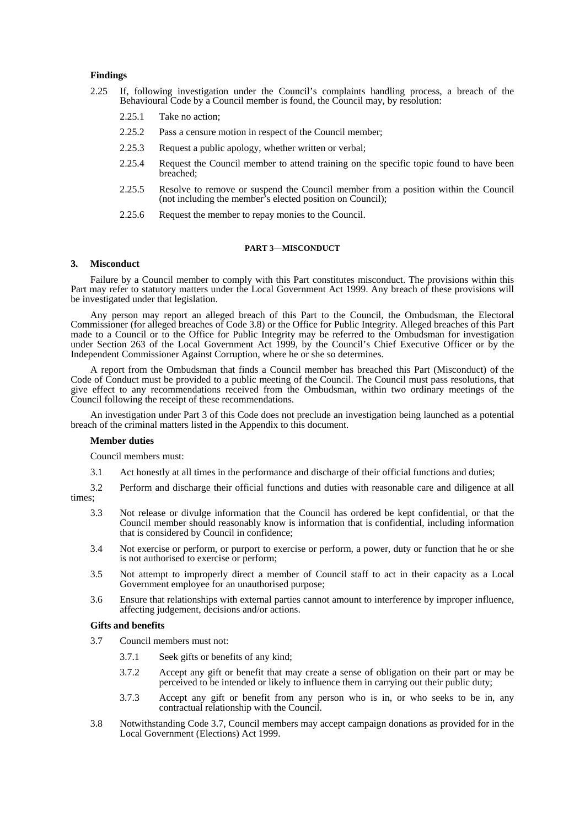### **Findings**

- 2.25 If, following investigation under the Council's complaints handling process, a breach of the Behavioural Code by a Council member is found, the Council may, by resolution:
	- 2.25.1 Take no action;
	- 2.25.2 Pass a censure motion in respect of the Council member;
	- 2.25.3 Request a public apology, whether written or verbal;
	- 2.25.4 Request the Council member to attend training on the specific topic found to have been breached;
	- 2.25.5 Resolve to remove or suspend the Council member from a position within the Council (not including the member's elected position on Council);
	- 2.25.6 Request the member to repay monies to the Council.

#### **PART 3—MISCONDUCT**

### **3. Misconduct**

 Failure by a Council member to comply with this Part constitutes misconduct. The provisions within this Part may refer to statutory matters under the Local Government Act 1999. Any breach of these provisions will be investigated under that legislation.

 Any person may report an alleged breach of this Part to the Council, the Ombudsman, the Electoral Commissioner (for alleged breaches of Code 3.8) or the Office for Public Integrity. Alleged breaches of this Part made to a Council or to the Office for Public Integrity may be referred to the Ombudsman for investigation under Section 263 of the Local Government Act 1999, by the Council's Chief Executive Officer or by the Independent Commissioner Against Corruption, where he or she so determines.

 A report from the Ombudsman that finds a Council member has breached this Part (Misconduct) of the Code of Conduct must be provided to a public meeting of the Council. The Council must pass resolutions, that give effect to any recommendations received from the Ombudsman, within two ordinary meetings of the Council following the receipt of these recommendations.

 An investigation under Part 3 of this Code does not preclude an investigation being launched as a potential breach of the criminal matters listed in the Appendix to this document.

#### **Member duties**

Council members must:

3.1 Act honestly at all times in the performance and discharge of their official functions and duties;

 3.2 Perform and discharge their official functions and duties with reasonable care and diligence at all times;

- 3.3 Not release or divulge information that the Council has ordered be kept confidential, or that the Council member should reasonably know is information that is confidential, including information that is considered by Council in confidence;
- 3.4 Not exercise or perform, or purport to exercise or perform, a power, duty or function that he or she is not authorised to exercise or perform;
- 3.5 Not attempt to improperly direct a member of Council staff to act in their capacity as a Local Government employee for an unauthorised purpose;
- 3.6 Ensure that relationships with external parties cannot amount to interference by improper influence, affecting judgement, decisions and/or actions.

#### **Gifts and benefits**

- 3.7 Council members must not:
	- 3.7.1 Seek gifts or benefits of any kind;
	- 3.7.2 Accept any gift or benefit that may create a sense of obligation on their part or may be perceived to be intended or likely to influence them in carrying out their public duty;
	- 3.7.3 Accept any gift or benefit from any person who is in, or who seeks to be in, any contractual relationship with the Council.
- 3.8 Notwithstanding Code 3.7, Council members may accept campaign donations as provided for in the Local Government (Elections) Act 1999.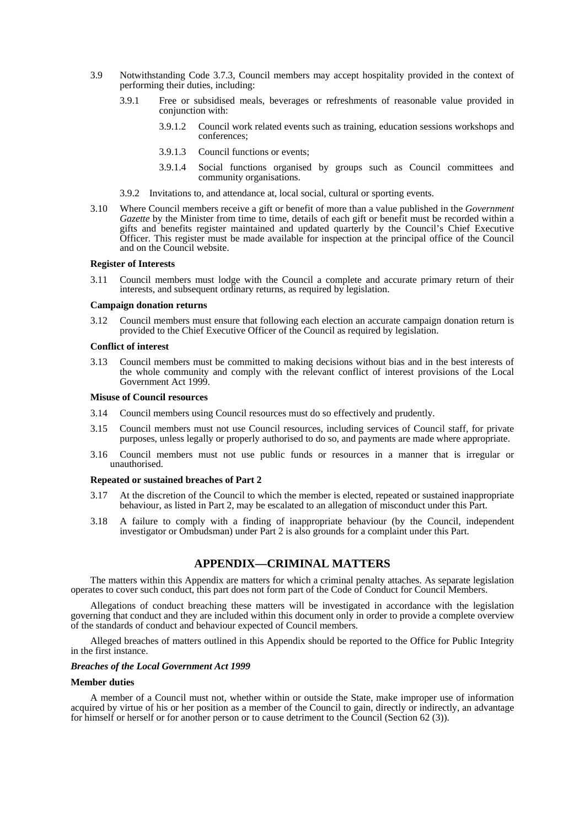- 3.9 Notwithstanding Code 3.7.3, Council members may accept hospitality provided in the context of performing their duties, including:
	- 3.9.1 Free or subsidised meals, beverages or refreshments of reasonable value provided in conjunction with:
		- 3.9.1.2 Council work related events such as training, education sessions workshops and conferences;
		- 3.9.1.3 Council functions or events;
		- 3.9.1.4 Social functions organised by groups such as Council committees and community organisations.
	- 3.9.2 Invitations to, and attendance at, local social, cultural or sporting events.
- 3.10 Where Council members receive a gift or benefit of more than a value published in the *Government Gazette* by the Minister from time to time, details of each gift or benefit must be recorded within a gifts and benefits register maintained and updated quarterly by the Council's Chief Executive Officer. This register must be made available for inspection at the principal office of the Council and on the Council website.

### **Register of Interests**

 3.11 Council members must lodge with the Council a complete and accurate primary return of their interests, and subsequent ordinary returns, as required by legislation.

#### **Campaign donation returns**

 3.12 Council members must ensure that following each election an accurate campaign donation return is provided to the Chief Executive Officer of the Council as required by legislation.

#### **Conflict of interest**

 3.13 Council members must be committed to making decisions without bias and in the best interests of the whole community and comply with the relevant conflict of interest provisions of the Local Government Act 1999.

#### **Misuse of Council resources**

- 3.14 Council members using Council resources must do so effectively and prudently.
- 3.15 Council members must not use Council resources, including services of Council staff, for private purposes, unless legally or properly authorised to do so, and payments are made where appropriate.
- 3.16 Council members must not use public funds or resources in a manner that is irregular or unauthorised.

#### **Repeated or sustained breaches of Part 2**

- 3.17 At the discretion of the Council to which the member is elected, repeated or sustained inappropriate behaviour, as listed in Part 2, may be escalated to an allegation of misconduct under this Part.
- 3.18 A failure to comply with a finding of inappropriate behaviour (by the Council, independent investigator or Ombudsman) under Part 2 is also grounds for a complaint under this Part.

# **APPENDIX—CRIMINAL MATTERS**

 The matters within this Appendix are matters for which a criminal penalty attaches. As separate legislation operates to cover such conduct, this part does not form part of the Code of Conduct for Council Members.

 Allegations of conduct breaching these matters will be investigated in accordance with the legislation governing that conduct and they are included within this document only in order to provide a complete overview of the standards of conduct and behaviour expected of Council members.

 Alleged breaches of matters outlined in this Appendix should be reported to the Office for Public Integrity in the first instance.

#### *Breaches of the Local Government Act 1999*

#### **Member duties**

 A member of a Council must not, whether within or outside the State, make improper use of information acquired by virtue of his or her position as a member of the Council to gain, directly or indirectly, an advantage for himself or herself or for another person or to cause detriment to the Council (Section 62 (3)).